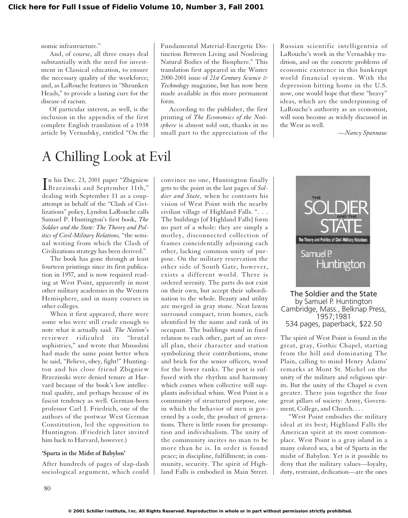nomic infrastructure."

And, of course, all three essays deal substantially with the need for investment in Classical education, to ensure the necessary quality of the workforce; and, as LaRouche features in "Shrunken Heads," to provide a lasting cure for the disease of racism.

Of particular interest, as well, is the inclusion in the appendix of the first complete English translation of a 1938 article by Vernadsky, entitled "On the

# A Chilling Look at Evil

In his Dec. 23, 2001 paper "Zbigniew"<br>Brzezinski and September 11th," n his Dec. 23, 2001 paper "Zbigniew dealing with September 11 as a coupattempt in behalf of the "Clash of Civilizations" policy, Lyndon LaRouche calls Samuel P. Huntington's first book, *The Soldier and the State: The Theory and Politics of Civil-Military Relations,* "the seminal writing from which the Clash of Civilizations strategy has been derived."

The book has gone through at least fourteen printings since its first publication in 1957, and is now required reading at West Point, apparently in most other military academies in the Western Hemisphere, and in many courses in other colleges.

When it first appeared, there were some who were still crude enough to note what it actually said. *The Nation*'s reviewer ridiculed its "brutal sophistries," and wrote that Mussolini had made the same point better when he said, "Believe, obey, fight!" Huntington and his close friend Zbigniew Brzezinski were denied tenure at Harvard because of the book's low intellectual quality, and perhaps because of its fascist tendency as well. German-born professor Carl J. Friedrich, one of the authors of the postwar West German Constitution, led the opposition to Huntington. (Friedrich later invited him back to Harvard, however.)

#### **'Sparta in the Midst of Babylon'**

After hundreds of pages of slap-dash sociological argument, which could Fundamental Material-Energetic Distinction Between Living and Nonliving Natural Bodies of the Biosphere." This translation first appeared in the Winter 2000-2001 issue of *21st Century Science & Technology* magazine, but has now been made available in this more permanent form.

According to the publisher, the first printing of *The Economics of the Noösphere* is almost sold out, thanks in no small part to the appreciation of the Russian scientific intelligentsia of LaRouche's work in the Vernadsky tradition, and on the concrete problems of economic existence in this bankrupt world financial system. With the depression hitting home in the U.S. now, one would hope that these "heavy" ideas, which are the underpinning of LaRouche's authority as an economist, will soon become as widely discussed in the West as well.

*—Nancy Spannaus*

convince no one, Huntington finally gets to the point in the last pages of *Soldier and State,* when he contrasts his vision of West Point with the nearby civilian village of Highland Falls. ". . . The buildings [of Highland Falls] form no part of a whole: they are simply a motley, disconnected collection of frames coincidentally adjoining each other, lacking common unity of purpose. On the military reservation the other side of South Gate, however, exists a different world. There is ordered serenity. The parts do not exist on their own, but accept their subordination to the whole. Beauty and utility are merged in gray stone. Neat lawns surround compact, trim homes, each identified by the name and rank of its occupant. The buildings stand in fixed relation to each other, part of an overall plan, their character and station symbolizing their contributions, stone and brick for the senior officers, wood for the lower ranks. The post is suffused with the rhythm and harmony which comes when collective will supplants individual whim. West Point is a community of structured purpose, one in which the behavior of men is governed by a code, the product of generations. There is little room for presumption and individualism. The unity of the community incites no man to be more than he is. In order is found peace; in discipline, fulfillment; in community, security. The spirit of Highland Falls is embodied in Main Street.



The Soldier and the State by Samuel P. Huntington Cambridge, Mass., Belknap Press, 1957;1981 534 pages, paperback, \$22.50

The spirit of West Point is found in the great, gray, Gothic Chapel, starting from the hill and dominating The Plain, calling to mind Henry Adams' remarks at Mont St. Michel on the unity of the military and religious spirits. But the unity of the Chapel is even greater. There join together the four great pillars of society: Army, Government, College, and Church. . . .

"West Point embodies the military ideal at its best; Highland Falls the American spirit at its most commonplace. West Point is a gray island in a many colored sea, a bit of Sparta in the midst of Babylon. Yet is it possible to deny that the military values—loyalty, duty, restraint, dedication—are the ones